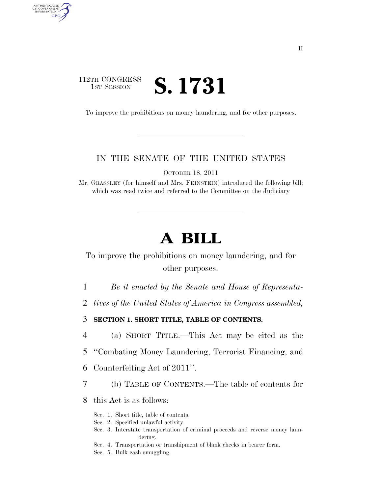### 112TH CONGRESS **1ST SESSION S. 1731**

AUTHENTICATED<br>U.S. GOVERNMENT<br>INFORMATION GPO

To improve the prohibitions on money laundering, and for other purposes.

### IN THE SENATE OF THE UNITED STATES

OCTOBER 18, 2011

Mr. GRASSLEY (for himself and Mrs. FEINSTEIN) introduced the following bill; which was read twice and referred to the Committee on the Judiciary

# **A BILL**

To improve the prohibitions on money laundering, and for other purposes.

1 *Be it enacted by the Senate and House of Representa-*

2 *tives of the United States of America in Congress assembled,* 

3 **SECTION 1. SHORT TITLE, TABLE OF CONTENTS.** 

4 (a) SHORT TITLE.—This Act may be cited as the

5 ''Combating Money Laundering, Terrorist Financing, and

- 6 Counterfeiting Act of 2011''.
- 7 (b) TABLE OF CONTENTS.—The table of contents for
- 8 this Act is as follows:
	- Sec. 1. Short title, table of contents.
	- Sec. 2. Specified unlawful activity.
	- Sec. 3. Interstate transportation of criminal proceeds and reverse money laundering.
	- Sec. 4. Transportation or transhipment of blank checks in bearer form.
	- Sec. 5. Bulk cash smuggling.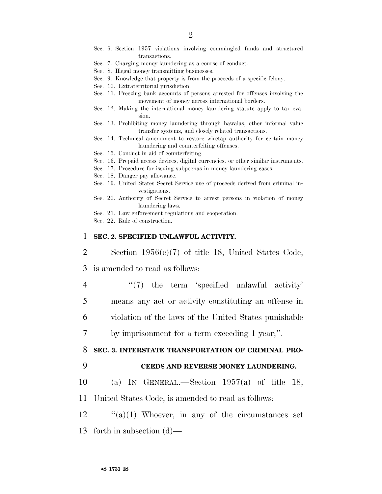- Sec. 6. Section 1957 violations involving commingled funds and structured transactions.
- Sec. 7. Charging money laundering as a course of conduct.
- Sec. 8. Illegal money transmitting businesses.
- Sec. 9. Knowledge that property is from the proceeds of a specific felony.
- Sec. 10. Extraterritorial jurisdiction.
- Sec. 11. Freezing bank accounts of persons arrested for offenses involving the movement of money across international borders.
- Sec. 12. Making the international money laundering statute apply to tax evasion.
- Sec. 13. Prohibiting money laundering through hawalas, other informal value transfer systems, and closely related transactions.
- Sec. 14. Technical amendment to restore wiretap authority for certain money laundering and counterfeiting offenses.
- Sec. 15. Conduct in aid of counterfeiting.
- Sec. 16. Prepaid access devices, digital currencies, or other similar instruments.
- Sec. 17. Procedure for issuing subpoenas in money laundering cases.
- Sec. 18. Danger pay allowance.
- Sec. 19. United States Secret Service use of proceeds derived from criminal investigations.
- Sec. 20. Authority of Secret Service to arrest persons in violation of money laundering laws.
- Sec. 21. Law enforcement regulations and cooperation.
- Sec. 22. Rule of construction.

### 1 **SEC. 2. SPECIFIED UNLAWFUL ACTIVITY.**

2 Section 1956(c)(7) of title 18, United States Code,

3 is amended to read as follows:

4 "(7) the term 'specified unlawful activity' 5 means any act or activity constituting an offense in

6 violation of the laws of the United States punishable

7 by imprisonment for a term exceeding 1 year;''.

8 **SEC. 3. INTERSTATE TRANSPORTATION OF CRIMINAL PRO-**

### 9 **CEEDS AND REVERSE MONEY LAUNDERING.**

10 (a) IN GENERAL.—Section 1957(a) of title 18,

11 United States Code, is amended to read as follows:

 $12$  "(a)(1) Whoever, in any of the circumstances set 13 forth in subsection (d)—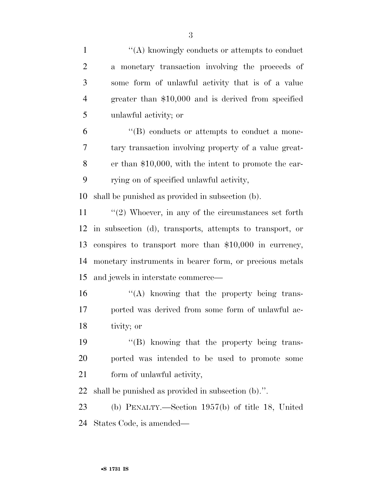| $\mathbf{1}$   | "(A) knowingly conducts or attempts to conduct           |
|----------------|----------------------------------------------------------|
| $\overline{2}$ | a monetary transaction involving the proceeds of         |
| 3              | some form of unlawful activity that is of a value        |
| $\overline{4}$ | greater than \$10,000 and is derived from specified      |
| 5              | unlawful activity; or                                    |
| 6              | $\lq\lq (B)$ conducts or attempts to conduct a mone-     |
| $\overline{7}$ | tary transaction involving property of a value great-    |
| 8              | er than $$10,000$ , with the intent to promote the car-  |
| 9              | rying on of specified unlawful activity,                 |
| 10             | shall be punished as provided in subsection (b).         |
| 11             | $\lq(2)$ Whoever, in any of the circumstances set forth  |
| 12             | in subsection (d), transports, attempts to transport, or |
| 13             | conspires to transport more than $$10,000$ in currency,  |
| 14             | monetary instruments in bearer form, or precious metals  |
| 15             | and jewels in interstate commerce—                       |
| 16             | "(A) knowing that the property being trans-              |
| 17             | ported was derived from some form of unlawful ac-        |
| 18             | tivity; or                                               |
| 19             | "(B) knowing that the property being trans-              |
| <b>20</b>      | ported was intended to be used to promote some           |
| 21             | form of unlawful activity,                               |
| 22             | shall be punished as provided in subsection (b).".       |
| 23             | (b) PENALTY.—Section $1957(b)$ of title 18, United       |
| 24             | States Code, is amended—                                 |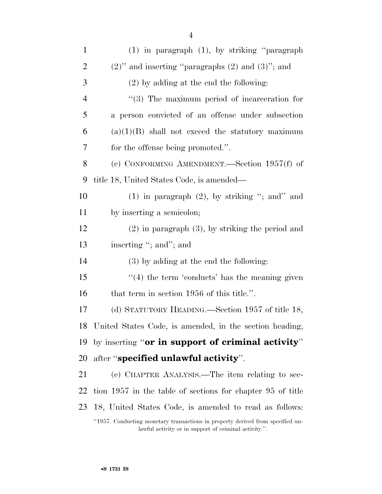| $\mathbf{1}$   | $(1)$ in paragraph $(1)$ , by striking "paragraph"                             |
|----------------|--------------------------------------------------------------------------------|
| $\overline{2}$ | $(2)$ " and inserting "paragraphs $(2)$ and $(3)$ "; and                       |
| 3              | $(2)$ by adding at the end the following:                                      |
| $\overline{4}$ | "(3) The maximum period of incarceration for                                   |
| 5              | a person convicted of an offense under subsection                              |
| 6              | $(a)(1)(B)$ shall not exceed the statutory maximum                             |
| 7              | for the offense being promoted.".                                              |
| 8              | (c) CONFORMING AMENDMENT.—Section $1957(f)$ of                                 |
| 9              | title 18, United States Code, is amended—                                      |
| 10             | $(1)$ in paragraph $(2)$ , by striking "; and" and                             |
| 11             | by inserting a semicolon;                                                      |
| 12             | $(2)$ in paragraph $(3)$ , by striking the period and                          |
| 13             | inserting "; and"; and                                                         |
| 14             | (3) by adding at the end the following:                                        |
| 15             | $\lq(4)$ the term 'conducts' has the meaning given                             |
| 16             | that term in section 1956 of this title.".                                     |
| 17             | (d) STATUTORY HEADING.—Section 1957 of title 18,                               |
|                | 18 United States Code, is amended, in the section heading,                     |
| 19             | by inserting "or in support of criminal activity"                              |
| 20             | after " <b>specified unlawful activity</b> ".                                  |
| 21             | (e) CHAPTER ANALYSIS.—The item relating to sec-                                |
| 22             | tion 1957 in the table of sections for chapter 95 of title                     |
| 23             | 18, United States Code, is amended to read as follows:                         |
|                | "1957. Conducting monetary transactions in property derived from specified un- |

lawful activity or in support of criminal activity.''.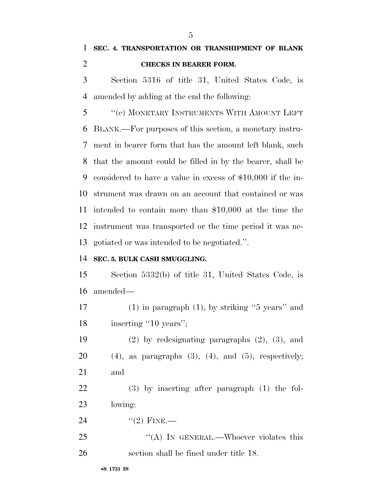Section 5316 of title 31, United States Code, is amended by adding at the end the following:

 ''(e) MONETARY INSTRUMENTS WITH AMOUNT LEFT BLANK.—For purposes of this section, a monetary instru- ment in bearer form that has the amount left blank, such that the amount could be filled in by the bearer, shall be considered to have a value in excess of \$10,000 if the in- strument was drawn on an account that contained or was intended to contain more than \$10,000 at the time the instrument was transported or the time period it was ne-gotiated or was intended to be negotiated.''.

### **SEC. 5. BULK CASH SMUGGLING.**

 Section 5332(b) of title 31, United States Code, is amended—

 (1) in paragraph (1), by striking ''5 years'' and 18 inserting "10 years";

 (2) by redesignating paragraphs (2), (3), and 20  $(4)$ , as paragraphs  $(3)$ ,  $(4)$ , and  $(5)$ , respectively; and

 (3) by inserting after paragraph (1) the fol-lowing:

24 ''(2) FINE.—

25 "(A) IN GENERAL.—Whoever violates this section shall be fined under title 18.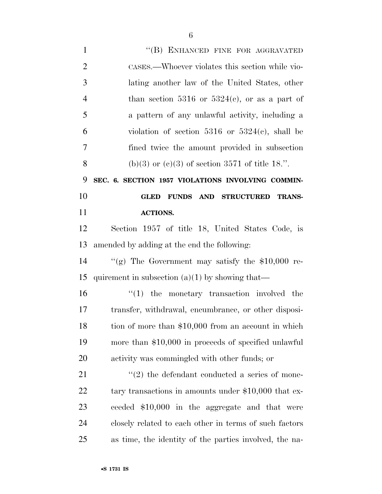1 "(B) ENHANCED FINE FOR AGGRAVATED CASES.—Whoever violates this section while vio- lating another law of the United States, other 4 than section or  $5324(c)$ , or as a part of a pattern of any unlawful activity, including a 6 violation of section or  $5324(e)$ , shall be fined twice the amount provided in subsection 8 (b)(3) or (c)(3) of section 3571 of title 18.". **SEC. 6. SECTION 1957 VIOLATIONS INVOLVING COMMIN- GLED FUNDS AND STRUCTURED TRANS- ACTIONS.**  Section 1957 of title 18, United States Code, is amended by adding at the end the following: ''(g) The Government may satisfy the \$10,000 re-15 quirement in subsection  $(a)(1)$  by showing that—  $\frac{16}{10}$  the monetary transaction involved the transfer, withdrawal, encumbrance, or other disposi-18 tion of more than \$10,000 from an account in which more than \$10,000 in proceeds of specified unlawful activity was commingled with other funds; or ''(2) the defendant conducted a series of mone-22 tary transactions in amounts under \$10,000 that ex- ceeded \$10,000 in the aggregate and that were closely related to each other in terms of such factors

as time, the identity of the parties involved, the na-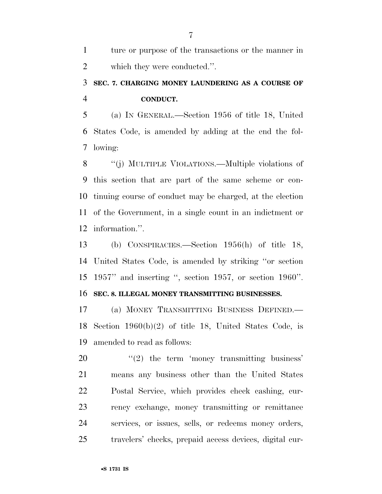ture or purpose of the transactions or the manner in which they were conducted.''.

## **SEC. 7. CHARGING MONEY LAUNDERING AS A COURSE OF CONDUCT.**

 (a) IN GENERAL.—Section 1956 of title 18, United States Code, is amended by adding at the end the fol-lowing:

 ''(j) MULTIPLE VIOLATIONS.—Multiple violations of this section that are part of the same scheme or con- tinuing course of conduct may be charged, at the election of the Government, in a single count in an indictment or information.''.

 (b) CONSPIRACIES.—Section 1956(h) of title 18, United States Code, is amended by striking ''or section 1957'' and inserting '', section 1957, or section 1960''.

### **SEC. 8. ILLEGAL MONEY TRANSMITTING BUSINESSES.**

 (a) MONEY TRANSMITTING BUSINESS DEFINED.— Section 1960(b)(2) of title 18, United States Code, is amended to read as follows:

 ''(2) the term 'money transmitting business' means any business other than the United States Postal Service, which provides check cashing, cur- rency exchange, money transmitting or remittance services, or issues, sells, or redeems money orders, travelers' checks, prepaid access devices, digital cur-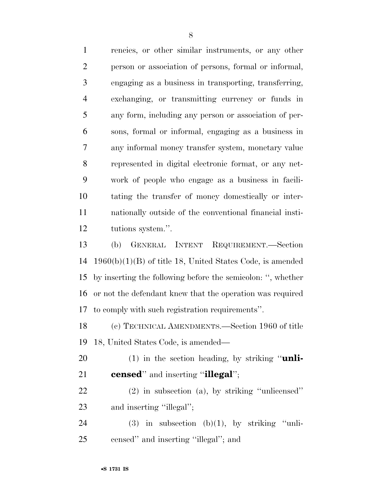rencies, or other similar instruments, or any other person or association of persons, formal or informal, engaging as a business in transporting, transferring, exchanging, or transmitting currency or funds in any form, including any person or association of per- sons, formal or informal, engaging as a business in any informal money transfer system, monetary value represented in digital electronic format, or any net- work of people who engage as a business in facili- tating the transfer of money domestically or inter- nationally outside of the conventional financial insti- tutions system.''. (b) GENERAL INTENT REQUIREMENT.—Section

 1960(b)(1)(B) of title 18, United States Code, is amended by inserting the following before the semicolon: '', whether or not the defendant knew that the operation was required to comply with such registration requirements''.

 (c) TECHNICAL AMENDMENTS.—Section 1960 of title 18, United States Code, is amended—

 (1) in the section heading, by striking ''**unli-censed**'' and inserting ''**illegal**'';

 (2) in subsection (a), by striking ''unlicensed'' 23 and inserting "illegal";

24 (3) in subsection  $(b)(1)$ , by striking "unli-censed'' and inserting ''illegal''; and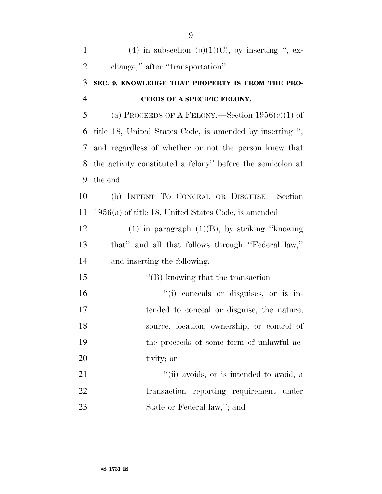| $\mathbf{1}$   | (4) in subsection (b)(1)(C), by inserting ", ex-           |
|----------------|------------------------------------------------------------|
| $\overline{2}$ | change," after "transportation".                           |
| 3              | SEC. 9. KNOWLEDGE THAT PROPERTY IS FROM THE PRO-           |
| $\overline{4}$ | CEEDS OF A SPECIFIC FELONY.                                |
| 5              | (a) PROCEEDS OF A FELONY.—Section $1956(c)(1)$ of          |
| 6              | title 18, United States Code, is amended by inserting ",   |
| 7              | and regardless of whether or not the person knew that      |
| 8              | the activity constituted a felony" before the semicolon at |
| 9              | the end.                                                   |
| 10             | (b) INTENT TO CONCEAL OR DISGUISE.—Section                 |
| 11             | $1956(a)$ of title 18, United States Code, is amended—     |
| 12             | $(1)$ in paragraph $(1)(B)$ , by striking "knowing"        |
| 13             | that" and all that follows through "Federal law,"          |
| 14             | and inserting the following:                               |
| 15             | $\lq$ <sup>"</sup> (B) knowing that the transaction—       |
| 16             | "(i) conceals or disguises, or is in-                      |
| 17             | tended to conceal or disguise, the nature,                 |
| 18             | source, location, ownership, or control of                 |
| 19             | the proceeds of some form of unlawful ac-                  |
| 20             | tivity; or                                                 |
| 21             | "(ii) avoids, or is intended to avoid, a                   |
| 22             | transaction reporting requirement under                    |
| 23             | State or Federal law,"; and                                |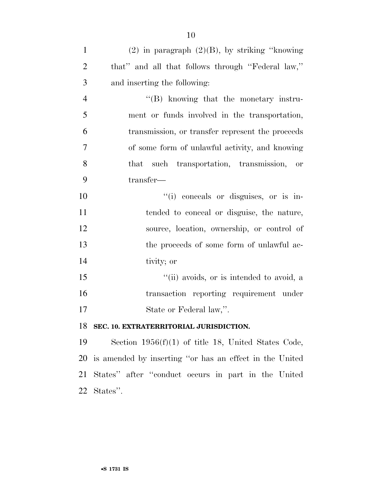| $\mathbf{1}$   | $(2)$ in paragraph $(2)(B)$ , by striking "knowing"   |
|----------------|-------------------------------------------------------|
| $\overline{2}$ | that" and all that follows through "Federal law,"     |
| 3              | and inserting the following:                          |
| $\overline{4}$ | $\lq\lq(B)$ knowing that the monetary instru-         |
| 5              | ment or funds involved in the transportation,         |
| 6              | transmission, or transfer represent the proceeds      |
| $\overline{7}$ | of some form of unlawful activity, and knowing        |
| 8              | such transportation, transmission, or<br>that         |
| 9              | transfer-                                             |
| 10             | "(i) conceals or disguises, or is in-                 |
| 11             | tended to conceal or disguise, the nature,            |
| 12             | source, location, ownership, or control of            |
| 13             | the proceeds of some form of unlawful ac-             |
| 14             | tivity; or                                            |
| 15             | "(ii) avoids, or is intended to avoid, a              |
| 16             | transaction reporting requirement under               |
| 17             | State or Federal law,".                               |
| 18             | SEC. 10. EXTRATERRITORIAL JURISDICTION.               |
| 19             | Section $1956(f)(1)$ of title 18, United States Code, |
|                |                                                       |

 is amended by inserting ''or has an effect in the United States'' after ''conduct occurs in part in the United States''.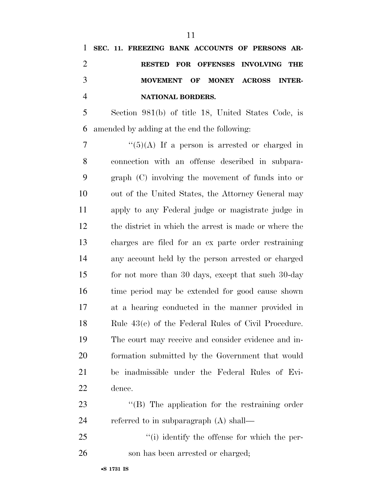## **SEC. 11. FREEZING BANK ACCOUNTS OF PERSONS AR- RESTED FOR OFFENSES INVOLVING THE MOVEMENT OF MONEY ACROSS INTER-NATIONAL BORDERS.**

 Section 981(b) of title 18, United States Code, is amended by adding at the end the following:

 ''(5)(A) If a person is arrested or charged in connection with an offense described in subpara- graph (C) involving the movement of funds into or out of the United States, the Attorney General may apply to any Federal judge or magistrate judge in the district in which the arrest is made or where the charges are filed for an ex parte order restraining any account held by the person arrested or charged for not more than 30 days, except that such 30-day 16 time period may be extended for good cause shown at a hearing conducted in the manner provided in Rule 43(e) of the Federal Rules of Civil Procedure. The court may receive and consider evidence and in- formation submitted by the Government that would be inadmissible under the Federal Rules of Evi-dence.

23 "(B) The application for the restraining order 24 referred to in subparagraph (A) shall—

25  $\frac{1}{25}$   $\frac{1}{25}$   $\frac{1}{25}$   $\frac{1}{25}$   $\frac{1}{25}$   $\frac{1}{25}$   $\frac{1}{25}$   $\frac{1}{25}$   $\frac{1}{25}$   $\frac{1}{25}$   $\frac{1}{25}$   $\frac{1}{25}$   $\frac{1}{25}$   $\frac{1}{25}$   $\frac{1}{25}$   $\frac{1}{25}$   $\frac{1}{25}$   $\frac{1}{25}$   $\frac{1}{25}$   $\frac{1}{25}$ 26 son has been arrested or charged;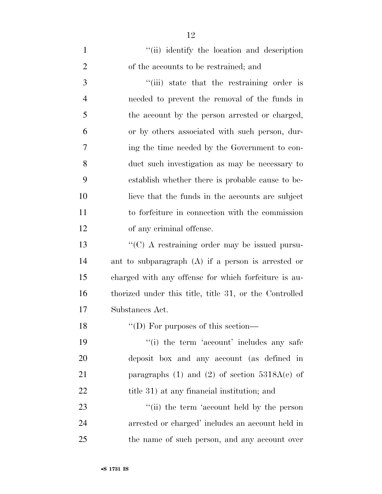| $\mathbf{1}$   | "(ii) identify the location and description            |
|----------------|--------------------------------------------------------|
| $\overline{2}$ | of the accounts to be restrained; and                  |
| 3              | "(iii) state that the restraining order is             |
| $\overline{4}$ | needed to prevent the removal of the funds in          |
| 5              | the account by the person arrested or charged,         |
| 6              | or by others associated with such person, dur-         |
| 7              | ing the time needed by the Government to con-          |
| 8              | duct such investigation as may be necessary to         |
| 9              | establish whether there is probable cause to be-       |
| 10             | lieve that the funds in the accounts are subject       |
| 11             | to forfeiture in connection with the commission        |
| 12             | of any criminal offense.                               |
| 13             | "(C) A restraining order may be issued pursu-          |
| 14             | ant to subparagraph $(A)$ if a person is arrested or   |
| 15             | charged with any offense for which forfeiture is au-   |
| 16             | thorized under this title, title 31, or the Controlled |
| 17             | Substances Act.                                        |
| 18             | $\lq\lq$ (D) For purposes of this section—             |
| 19             | "(i) the term 'account' includes any safe              |
| 20             | deposit box and any account (as defined in             |
| 21             | paragraphs (1) and (2) of section $5318A(e)$ of        |
| 22             | title 31) at any financial institution; and            |
| 23             | "(ii) the term 'account held by the person             |
| 24             | arrested or charged' includes an account held in       |
| 25             | the name of such person, and any account over          |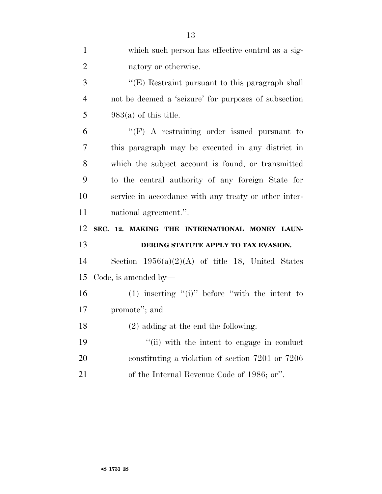| $\mathbf{1}$   | which such person has effective control as a sig-     |
|----------------|-------------------------------------------------------|
| $\overline{2}$ | natory or otherwise.                                  |
| 3              | "(E) Restraint pursuant to this paragraph shall       |
| $\overline{4}$ | not be deemed a 'seizure' for purposes of subsection  |
| 5              | $983(a)$ of this title.                               |
| 6              | "(F) A restraining order issued pursuant to           |
| 7              | this paragraph may be executed in any district in     |
| 8              | which the subject account is found, or transmitted    |
| 9              | to the central authority of any foreign State for     |
| 10             | service in accordance with any treaty or other inter- |
| 11             | national agreement.".                                 |
| 12             | SEC. 12. MAKING THE INTERNATIONAL MONEY LAUN-         |
|                |                                                       |
| 13             | DERING STATUTE APPLY TO TAX EVASION.                  |
| 14             | Section $1956(a)(2)(A)$ of title 18, United States    |
| 15             | Code, is amended by—                                  |
| 16             | (1) inserting " $(i)$ " before "with the intent to    |
| 17             | promote"; and                                         |
| 18             | $(2)$ adding at the end the following:                |
| 19             | "(ii) with the intent to engage in conduct            |
| 20             | constituting a violation of section 7201 or 7206      |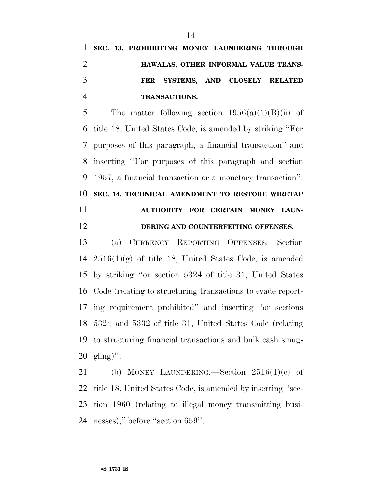5 The matter following section  $1956(a)(1)(B)(ii)$  of title 18, United States Code, is amended by striking ''For purposes of this paragraph, a financial transaction'' and inserting ''For purposes of this paragraph and section 1957, a financial transaction or a monetary transaction''. **SEC. 14. TECHNICAL AMENDMENT TO RESTORE WIRETAP** 

## **AUTHORITY FOR CERTAIN MONEY LAUN-DERING AND COUNTERFEITING OFFENSES.**

 (a) CURRENCY REPORTING OFFENSES.—Section 2516(1)(g) of title 18, United States Code, is amended by striking ''or section 5324 of title 31, United States Code (relating to structuring transactions to evade report- ing requirement prohibited'' and inserting ''or sections 5324 and 5332 of title 31, United States Code (relating to structuring financial transactions and bulk cash smug-gling)''.

 (b) MONEY LAUNDERING.—Section 2516(1)(c) of title 18, United States Code, is amended by inserting ''sec- tion 1960 (relating to illegal money transmitting busi-nesses),'' before ''section 659''.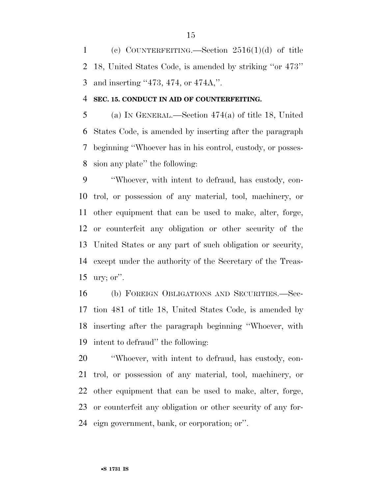(c) COUNTERFEITING.—Section 2516(1)(d) of title 18, United States Code, is amended by striking ''or 473'' and inserting ''473, 474, or 474A,''.

### **SEC. 15. CONDUCT IN AID OF COUNTERFEITING.**

 (a) IN GENERAL.—Section 474(a) of title 18, United States Code, is amended by inserting after the paragraph beginning ''Whoever has in his control, custody, or posses-sion any plate'' the following:

 ''Whoever, with intent to defraud, has custody, con- trol, or possession of any material, tool, machinery, or other equipment that can be used to make, alter, forge, or counterfeit any obligation or other security of the United States or any part of such obligation or security, except under the authority of the Secretary of the Treas-ury; or''.

 (b) FOREIGN OBLIGATIONS AND SECURITIES.—Sec- tion 481 of title 18, United States Code, is amended by inserting after the paragraph beginning ''Whoever, with intent to defraud'' the following:

 ''Whoever, with intent to defraud, has custody, con- trol, or possession of any material, tool, machinery, or other equipment that can be used to make, alter, forge, or counterfeit any obligation or other security of any for-eign government, bank, or corporation; or''.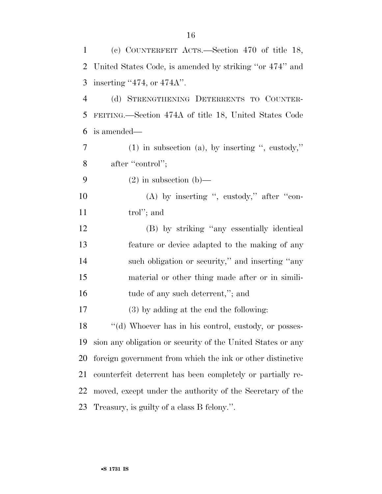| 1              | (c) COUNTERFEIT ACTS.—Section 470 of title 18,              |
|----------------|-------------------------------------------------------------|
| $\overline{2}$ | United States Code, is amended by striking "or 474" and     |
| 3              | inserting $474$ , or $474$ A".                              |
| $\overline{4}$ | (d) STRENGTHENING DETERRENTS TO COUNTER-                    |
| 5              | FEITING.—Section 474A of title 18, United States Code       |
| 6              | is amended—                                                 |
| 7              | $(1)$ in subsection (a), by inserting ", custody,"          |
| 8              | after "control";                                            |
| 9              | $(2)$ in subsection $(b)$ —                                 |
| 10             | (A) by inserting ", custody," after "con-                   |
| 11             | trol''; and                                                 |
| 12             | (B) by striking "any essentially identical                  |
| 13             | feature or device adapted to the making of any              |
| 14             | such obligation or security," and inserting "any            |
| 15             | material or other thing made after or in simili-            |
| 16             | tude of any such deterrent,"; and                           |
| 17             | $(3)$ by adding at the end the following:                   |
| 18             | "(d) Whoever has in his control, custody, or posses-        |
| 19             | sion any obligation or security of the United States or any |
| 20             | foreign government from which the ink or other distinctive  |
| 21             | counterfeit deterrent has been completely or partially re-  |
| 22             | moved, except under the authority of the Secretary of the   |
| 23             | Treasury, is guilty of a class B felony.".                  |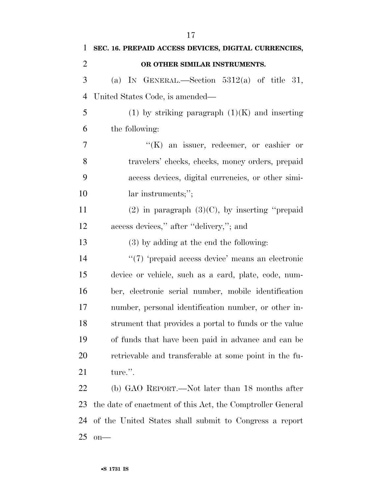| $\mathbf{1}$   | SEC. 16. PREPAID ACCESS DEVICES, DIGITAL CURRENCIES,       |
|----------------|------------------------------------------------------------|
| $\overline{2}$ | OR OTHER SIMILAR INSTRUMENTS.                              |
| 3              | (a) IN GENERAL.—Section $5312(a)$ of title 31,             |
| $\overline{4}$ | United States Code, is amended—                            |
| 5              | $(1)$ by striking paragraph $(1)(K)$ and inserting         |
| 6              | the following:                                             |
| 7              | $\lq\lq(K)$ an issuer, redeemer, or cashier or             |
| 8              | travelers' checks, checks, money orders, prepaid           |
| 9              | access devices, digital currencies, or other simi-         |
| 10             | lar instruments;";                                         |
| 11             | $(2)$ in paragraph $(3)(C)$ , by inserting "prepaid        |
| 12             | access devices," after "delivery,"; and                    |
| 13             | $(3)$ by adding at the end the following:                  |
| 14             | $\lq(7)$ 'prepaid access device' means an electronic       |
| 15             | device or vehicle, such as a card, plate, code, num-       |
| 16             | ber, electronic serial number, mobile identification       |
| 17             | number, personal identification number, or other in-       |
| 18             | strument that provides a portal to funds or the value      |
| 19             | of funds that have been paid in advance and can be         |
| 20             | retrievable and transferable at some point in the fu-      |
| 21             | ture.".                                                    |
| 22             | (b) GAO REPORT.—Not later than 18 months after             |
| 23             | the date of enactment of this Act, the Comptroller General |
| 24             | of the United States shall submit to Congress a report     |
| 25             | $on$ —                                                     |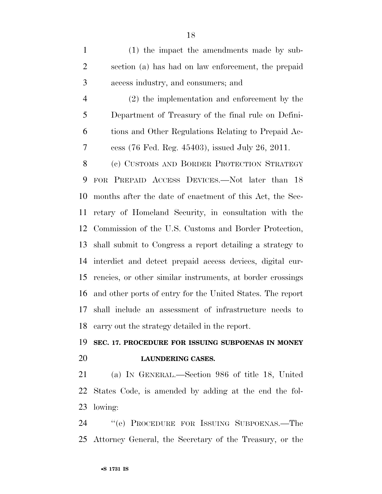(1) the impact the amendments made by sub- section (a) has had on law enforcement, the prepaid access industry, and consumers; and

 (2) the implementation and enforcement by the Department of Treasury of the final rule on Defini- tions and Other Regulations Relating to Prepaid Ac-cess (76 Fed. Reg. 45403), issued July 26, 2011.

8 (c) CUSTOMS AND BORDER PROTECTION STRATEGY FOR PREPAID ACCESS DEVICES.—Not later than 18 months after the date of enactment of this Act, the Sec- retary of Homeland Security, in consultation with the Commission of the U.S. Customs and Border Protection, shall submit to Congress a report detailing a strategy to interdict and detect prepaid access devices, digital cur- rencies, or other similar instruments, at border crossings and other ports of entry for the United States. The report shall include an assessment of infrastructure needs to carry out the strategy detailed in the report.

# **SEC. 17. PROCEDURE FOR ISSUING SUBPOENAS IN MONEY**

### **LAUNDERING CASES.**

 (a) IN GENERAL.—Section 986 of title 18, United States Code, is amended by adding at the end the fol-lowing:

 ''(e) PROCEDURE FOR ISSUING SUBPOENAS.—The Attorney General, the Secretary of the Treasury, or the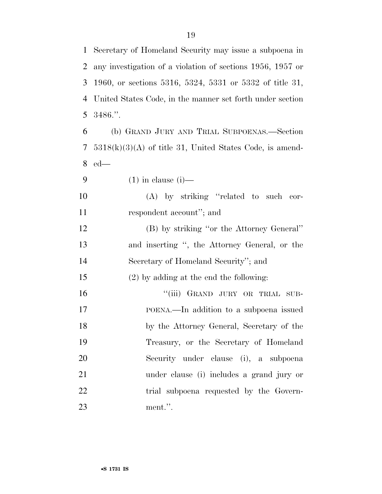Secretary of Homeland Security may issue a subpoena in any investigation of a violation of sections 1956, 1957 or 1960, or sections 5316, 5324, 5331 or 5332 of title 31, United States Code, in the manner set forth under section 3486.''.

 (b) GRAND JURY AND TRIAL SUBPOENAS.—Section 5318(k)(3)(A) of title 31, United States Code, is amend-ed—

(1) in clause (i)—

 (A) by striking ''related to such cor-respondent account''; and

 (B) by striking ''or the Attorney General'' and inserting '', the Attorney General, or the Secretary of Homeland Security''; and

(2) by adding at the end the following:

16 "'(iii) GRAND JURY OR TRIAL SUB- POENA.—In addition to a subpoena issued by the Attorney General, Secretary of the Treasury, or the Secretary of Homeland Security under clause (i), a subpoena under clause (i) includes a grand jury or 22 trial subpoena requested by the Govern-ment.''.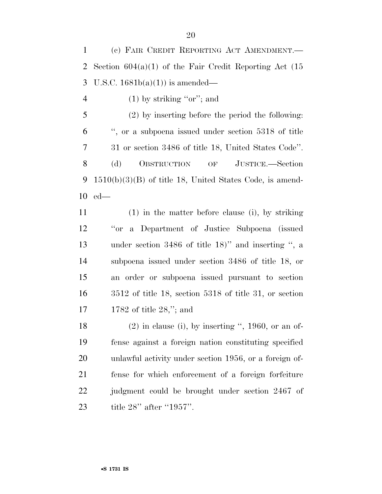(c) FAIR CREDIT REPORTING ACT AMENDMENT.— 2 Section  $604(a)(1)$  of the Fair Credit Reporting Act  $(15)$ 3 U.S.C.  $1681b(a)(1)$  is amended—

4 (1) by striking "or"; and

 (2) by inserting before the period the following: '', or a subpoena issued under section 5318 of title 31 or section 3486 of title 18, United States Code''. (d) OBSTRUCTION OF JUSTICE.—Section 1510(b)(3)(B) of title 18, United States Code, is amend-ed—

 (1) in the matter before clause (i), by striking ''or a Department of Justice Subpoena (issued under section 3486 of title 18)'' and inserting '', a subpoena issued under section 3486 of title 18, or an order or subpoena issued pursuant to section 3512 of title 18, section 5318 of title 31, or section 1782 of title 28,''; and

18 (2) in clause (i), by inserting  $\degree$ , 1960, or an of- fense against a foreign nation constituting specified unlawful activity under section 1956, or a foreign of- fense for which enforcement of a foreign forfeiture judgment could be brought under section 2467 of title 28'' after ''1957''.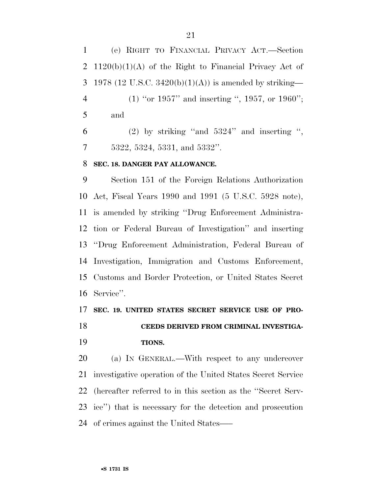(e) RIGHT TO FINANCIAL PRIVACY ACT.—Section 2 1120(b)(1)(A) of the Right to Financial Privacy Act of 3 1978 (12 U.S.C. 3420(b)(1)(A)) is amended by striking— (1) ''or 1957'' and inserting '', 1957, or 1960''; and

 (2) by striking "and  $5324$ " and inserting ", 5322, 5324, 5331, and 5332''.

### **SEC. 18. DANGER PAY ALLOWANCE.**

 Section 151 of the Foreign Relations Authorization Act, Fiscal Years 1990 and 1991 (5 U.S.C. 5928 note), is amended by striking ''Drug Enforcement Administra- tion or Federal Bureau of Investigation'' and inserting ''Drug Enforcement Administration, Federal Bureau of Investigation, Immigration and Customs Enforcement, Customs and Border Protection, or United States Secret Service''.

### **SEC. 19. UNITED STATES SECRET SERVICE USE OF PRO-**

 **CEEDS DERIVED FROM CRIMINAL INVESTIGA-TIONS.** 

 (a) IN GENERAL.—With respect to any undercover investigative operation of the United States Secret Service (hereafter referred to in this section as the ''Secret Serv- ice'') that is necessary for the detection and prosecution of crimes against the United States—–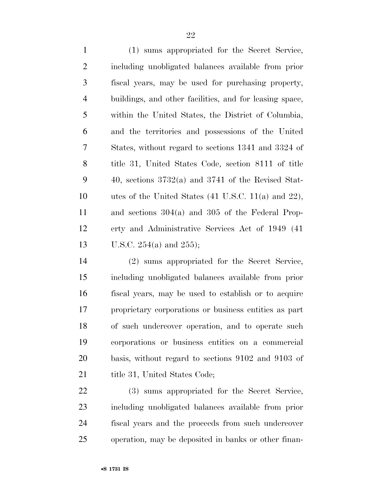(1) sums appropriated for the Secret Service, including unobligated balances available from prior fiscal years, may be used for purchasing property, buildings, and other facilities, and for leasing space, within the United States, the District of Columbia, and the territories and possessions of the United States, without regard to sections 1341 and 3324 of title 31, United States Code, section 8111 of title 40, sections 3732(a) and 3741 of the Revised Stat- utes of the United States (41 U.S.C. 11(a) and 22), and sections 304(a) and 305 of the Federal Prop- erty and Administrative Services Act of 1949 (41 U.S.C. 254(a) and 255);

 (2) sums appropriated for the Secret Service, including unobligated balances available from prior fiscal years, may be used to establish or to acquire proprietary corporations or business entities as part of such undercover operation, and to operate such corporations or business entities on a commercial basis, without regard to sections 9102 and 9103 of 21 title 31, United States Code;

 (3) sums appropriated for the Secret Service, including unobligated balances available from prior fiscal years and the proceeds from such undercover operation, may be deposited in banks or other finan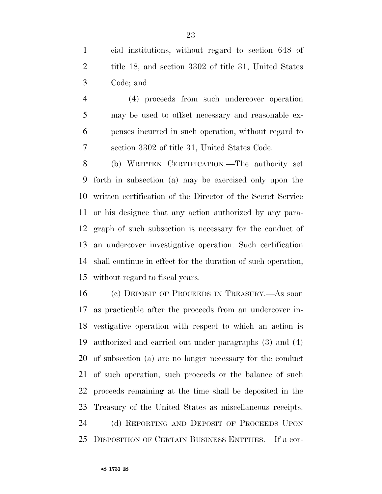cial institutions, without regard to section 648 of 2 title 18, and section 3302 of title 31, United States Code; and

 (4) proceeds from such undercover operation may be used to offset necessary and reasonable ex- penses incurred in such operation, without regard to section 3302 of title 31, United States Code.

 (b) WRITTEN CERTIFICATION.—The authority set forth in subsection (a) may be exercised only upon the written certification of the Director of the Secret Service or his designee that any action authorized by any para- graph of such subsection is necessary for the conduct of an undercover investigative operation. Such certification shall continue in effect for the duration of such operation, without regard to fiscal years.

 (c) DEPOSIT OF PROCEEDS IN TREASURY.—As soon as practicable after the proceeds from an undercover in- vestigative operation with respect to which an action is authorized and carried out under paragraphs (3) and (4) of subsection (a) are no longer necessary for the conduct of such operation, such proceeds or the balance of such proceeds remaining at the time shall be deposited in the Treasury of the United States as miscellaneous receipts. 24 (d) REPORTING AND DEPOSIT OF PROCEEDS UPON DISPOSITION OF CERTAIN BUSINESS ENTITIES.—If a cor-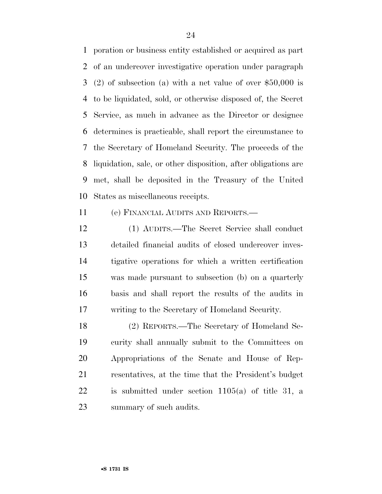poration or business entity established or acquired as part of an undercover investigative operation under paragraph (2) of subsection (a) with a net value of over \$50,000 is to be liquidated, sold, or otherwise disposed of, the Secret Service, as much in advance as the Director or designee determines is practicable, shall report the circumstance to the Secretary of Homeland Security. The proceeds of the liquidation, sale, or other disposition, after obligations are met, shall be deposited in the Treasury of the United States as miscellaneous receipts.

(e) FINANCIAL AUDITS AND REPORTS.—

 (1) AUDITS.—The Secret Service shall conduct detailed financial audits of closed undercover inves- tigative operations for which a written certification was made pursuant to subsection (b) on a quarterly basis and shall report the results of the audits in writing to the Secretary of Homeland Security.

 (2) REPORTS.—The Secretary of Homeland Se- curity shall annually submit to the Committees on Appropriations of the Senate and House of Rep- resentatives, at the time that the President's budget is submitted under section 1105(a) of title 31, a summary of such audits.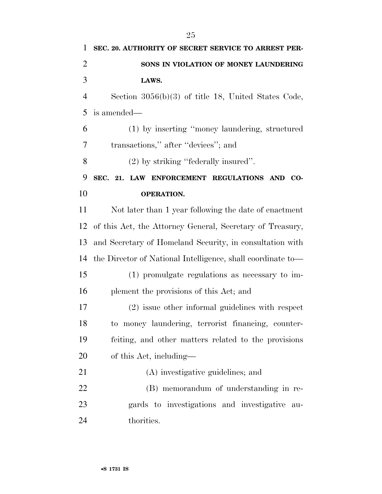| $\mathbf{1}$   | SEC. 20. AUTHORITY OF SECRET SERVICE TO ARREST PER-         |
|----------------|-------------------------------------------------------------|
| $\overline{2}$ | SONS IN VIOLATION OF MONEY LAUNDERING                       |
| 3              | LAWS.                                                       |
| $\overline{4}$ | Section $3056(b)(3)$ of title 18, United States Code,       |
| 5              | is amended—                                                 |
| 6              | (1) by inserting "money laundering, structured              |
| 7              | transactions," after "devices"; and                         |
| 8              | $(2)$ by striking "federally insured".                      |
| 9              | SEC. 21. LAW ENFORCEMENT REGULATIONS AND<br>CO-             |
| 10             | <b>OPERATION.</b>                                           |
| 11             | Not later than 1 year following the date of enactment       |
| 12             | of this Act, the Attorney General, Secretary of Treasury,   |
| 13             | and Secretary of Homeland Security, in consultation with    |
| 14             | the Director of National Intelligence, shall coordinate to— |
| 15             | (1) promulgate regulations as necessary to im-              |
| 16             | plement the provisions of this Act; and                     |
| 17             | (2) issue other informal guidelines with respect            |
| 18             | to money laundering, terrorist financing, counter-          |
| 19             | feiting, and other matters related to the provisions        |
| 20             | of this Act, including—                                     |
| 21             | (A) investigative guidelines; and                           |
| 22             | (B) memorandum of understanding in re-                      |
| 23             | gards to investigations and investigative au-               |
| 24             | thorities.                                                  |